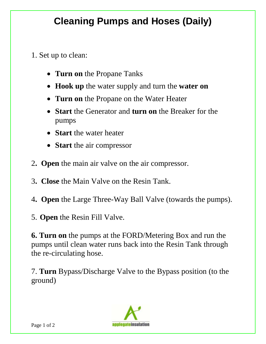## **Cleaning Pumps and Hoses (Daily)**

- 1. Set up to clean:
	- **Turn on** the Propane Tanks
	- **Hook up** the water supply and turn the **water on**
	- **Turn on** the Propane on the Water Heater
	- **Start** the Generator and **turn on** the Breaker for the pumps
	- **Start** the water heater
	- **Start** the air compressor
- 2**. Open** the main air valve on the air compressor.
- 3**. Close** the Main Valve on the Resin Tank.
- 4**. Open** the Large Three-Way Ball Valve (towards the pumps).
- 5. **Open** the Resin Fill Valve.

**6. Turn on** the pumps at the FORD/Metering Box and run the pumps until clean water runs back into the Resin Tank through the re-circulating hose.

7. **Turn** Bypass/Discharge Valve to the Bypass position (to the ground)